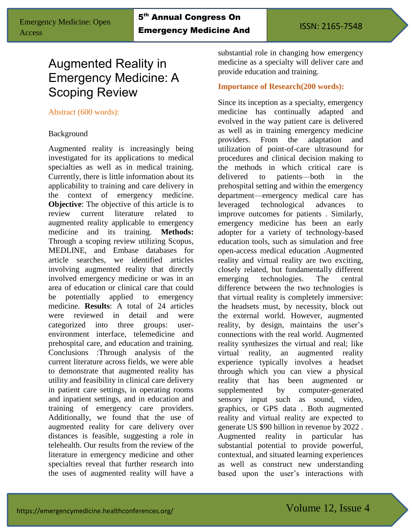Acute Care

# Augmented Reality in Emergency Medicine: A Scoping Review

#### Abstract (600 words):

#### Background

Augmented reality is increasingly being investigated for its applications to medical specialties as well as in medical training. Currently, there is little information about its applicability to training and care delivery in the context of emergency medicine. **Objective:** The objective of this article is to review current literature related to augmented reality applicable to emergency medicine and its training. **Methods:** Through a scoping review utilizing Scopus, MEDLINE, and Embase databases for article searches, we identified articles involving augmented reality that directly involved emergency medicine or was in an area of education or clinical care that could be potentially applied to emergency medicine. **Results**: A total of 24 articles were reviewed in detail and were categorized into three groups: userenvironment interface, telemedicine and prehospital care, and education and training. Conclusions :Through analysis of the current literature across fields, we were able to demonstrate that augmented reality has utility and feasibility in clinical care delivery in patient care settings, in operating rooms and inpatient settings, and in education and training of emergency care providers. Additionally, we found that the use of augmented reality for care delivery over distances is feasible, suggesting a role in telehealth. Our results from the review of the literature in emergency medicine and other specialties reveal that further research into the uses of augmented reality will have a

substantial role in changing how emergency medicine as a specialty will deliver care and provide education and training.

#### **Importance of Research(200 words):**

Since its inception as a specialty, emergency medicine has continually adapted and evolved in the way patient care is delivered as well as in training emergency medicine providers. From the adaptation and utilization of point-of-care ultrasound for procedures and clinical decision making to the methods in which critical care is delivered to patients—both in the prehospital setting and within the emergency department—emergency medical care has leveraged technological advances to improve outcomes for patients . Similarly, emergency medicine has been an early adopter for a variety of technology-based education tools, such as simulation and free open-access medical education .Augmented reality and virtual reality are two exciting, closely related, but fundamentally different emerging technologies. The central difference between the two technologies is that virtual reality is completely immersive: the headsets must, by necessity, block out the external world. However, augmented reality, by design, maintains the user's connections with the real world. Augmented reality synthesizes the virtual and real; like virtual reality, an augmented reality experience typically involves a headset through which you can view a physical reality that has been augmented or supplemented by computer-generated sensory input such as sound, video, graphics, or GPS data . Both augmented reality and virtual reality are expected to generate US \$90 billion in revenue by 2022 . Augmented reality in particular has substantial potential to provide powerful, contextual, and situated learning experiences as well as construct new understanding based upon the user's interactions with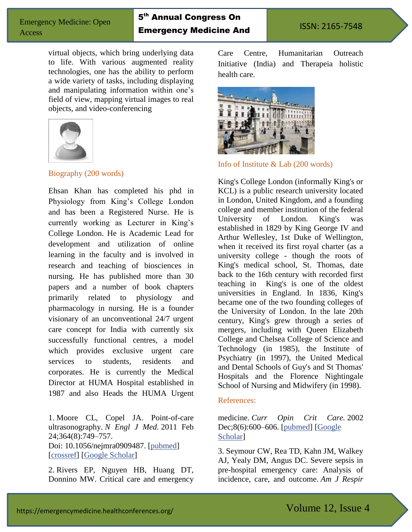## 5<sup>th</sup> Annual Congress On Emergency Medicine And

Acute Care

virtual objects, which bring underlying data to life. With various augmented reality technologies, one has the ability to perform a wide variety of tasks, including displaying and manipulating information within one's field of view, mapping virtual images to real objects, and video-conferencing



### Biography (200 words)

Ehsan Khan has completed his phd in Physiology from King's College London and has been a Registered Nurse. He is currently working as Lecturer in King's College London. He is Academic Lead for development and utilization of online learning in the faculty and is involved in research and teaching of biosciences in nursing. He has published more than 30 papers and a number of book chapters primarily related to physiology and pharmacology in nursing. He is a founder visionary of an unconventional 24/7 urgent care concept for India with currently six successfully functional centres, a model which provides exclusive urgent care services to students, residents and corporates. He is currently the Medical Director at HUMA Hospital established in 1987 and also Heads the HUMA Urgent

1. Moore CL, Copel JA. Point-of-care ultrasonography. *N Engl J Med.* 2011 Feb 24;364(8):749–757. Doi: 10.1056/nejmra0909487. [\[pubmed\]](https://www.ncbi.nlm.nih.gov/pubmed/21345104) [\[crossref\]](https://dx.doi.org/10.1056%2FNEJMra0909487) [\[Google Scholar\]](https://scholar.google.com/scholar_lookup?journal=N+Engl+J+Med&title=Point-of-care+ultrasonography&author=CL+Moore&author=JA+Copel&volume=364&issue=8&publication_year=2011&pages=749-757&pmid=21345104&doi=10.1056/NEJMra0909487&)

2. Rivers EP, Nguyen HB, Huang DT, Donnino MW. Critical care and emergency Care Centre, Humanitarian Outreach Initiative (India) and Therapeia holistic health care.



Info of Institute & Lab (200 words)

King's College London (informally King's or KCL) is a public research university located in London, United Kingdom, and a founding college and member institution of the federal University of London. King's was established in 1829 by King George IV and Arthur Wellesley, 1st Duke of Wellington, when it received its first royal charter (as a university college - though the roots of King's medical school, St. Thomas, date back to the 16th century with recorded first teaching in King's is one of the oldest universities in England. In 1836, King's became one of the two founding colleges of the University of London. In the late 20th century, King's grew through a series of mergers, including with Queen Elizabeth College and Chelsea College of Science and Technology (in 1985), the Institute of Psychiatry (in 1997), the United Medical and Dental Schools of Guy's and St Thomas' Hospitals and the Florence Nightingale School of Nursing and Midwifery (in 1998).

#### References:

medicine. *Curr Opin Crit Care.* 2002 Dec;8(6):600–606. [\[pubmed\]](https://www.ncbi.nlm.nih.gov/pubmed/12454549) [\[Google](https://scholar.google.com/scholar_lookup?journal=Curr+Opin+Crit+Care&title=Critical+care+and+emergency+medicine&author=EP+Rivers&author=HB+Nguyen&author=DT+Huang&author=MW+Donnino&volume=8&issue=6&publication_year=2002&pages=600-606&pmid=12454549&)  [Scholar\]](https://scholar.google.com/scholar_lookup?journal=Curr+Opin+Crit+Care&title=Critical+care+and+emergency+medicine&author=EP+Rivers&author=HB+Nguyen&author=DT+Huang&author=MW+Donnino&volume=8&issue=6&publication_year=2002&pages=600-606&pmid=12454549&)

3. Seymour CW, Rea TD, Kahn JM, Walkey AJ, Yealy DM, Angus DC. Severe sepsis in pre-hospital emergency care: Analysis of incidence, care, and outcome. *Am J Respir*